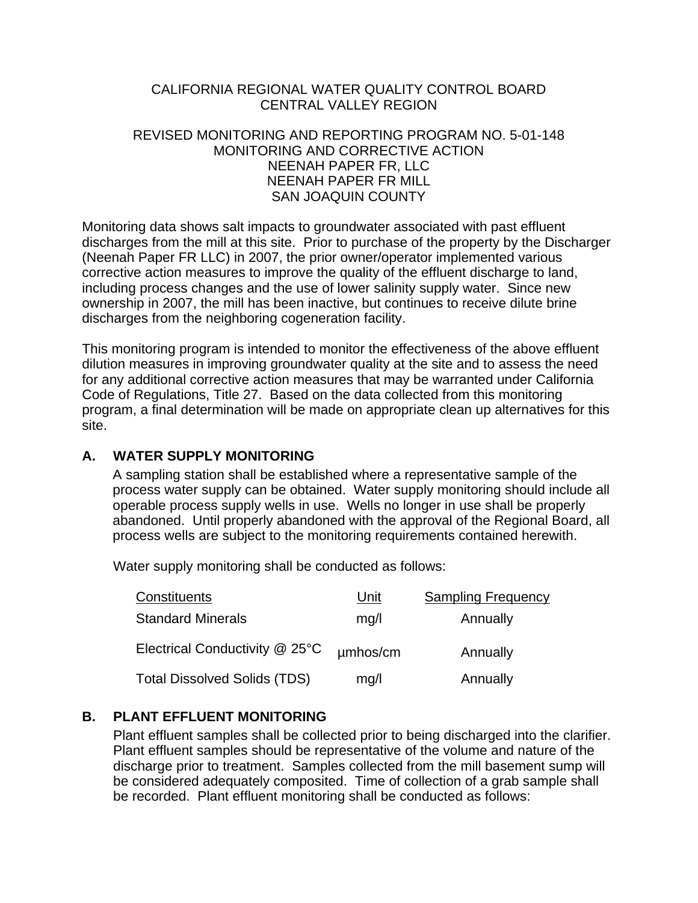## CALIFORNIA REGIONAL WATER QUALITY CONTROL BOARD CENTRAL VALLEY REGION

#### REVISED MONITORING AND REPORTING PROGRAM NO. 5-01-148 MONITORING AND CORRECTIVE ACTION NEENAH PAPER FR, LLC NEENAH PAPER FR MILL SAN JOAQUIN COUNTY

Monitoring data shows salt impacts to groundwater associated with past effluent discharges from the mill at this site. Prior to purchase of the property by the Discharger (Neenah Paper FR LLC) in 2007, the prior owner/operator implemented various corrective action measures to improve the quality of the effluent discharge to land, including process changes and the use of lower salinity supply water. Since new ownership in 2007, the mill has been inactive, but continues to receive dilute brine discharges from the neighboring cogeneration facility.

This monitoring program is intended to monitor the effectiveness of the above effluent dilution measures in improving groundwater quality at the site and to assess the need for any additional corrective action measures that may be warranted under California Code of Regulations, Title 27. Based on the data collected from this monitoring program, a final determination will be made on appropriate clean up alternatives for this site.

## **A. WATER SUPPLY MONITORING**

A sampling station shall be established where a representative sample of the process water supply can be obtained. Water supply monitoring should include all operable process supply wells in use. Wells no longer in use shall be properly abandoned. Until properly abandoned with the approval of the Regional Board, all process wells are subject to the monitoring requirements contained herewith.

Water supply monitoring shall be conducted as follows:

| Constituents                        | Unit     | <b>Sampling Frequency</b> |
|-------------------------------------|----------|---------------------------|
| <b>Standard Minerals</b>            | mq/l     | Annually                  |
| Electrical Conductivity @ 25°C      | umhos/cm | Annually                  |
| <b>Total Dissolved Solids (TDS)</b> | mg/l     | Annually                  |

# **B. PLANT EFFLUENT MONITORING**

Plant effluent samples shall be collected prior to being discharged into the clarifier. Plant effluent samples should be representative of the volume and nature of the discharge prior to treatment. Samples collected from the mill basement sump will be considered adequately composited. Time of collection of a grab sample shall be recorded. Plant effluent monitoring shall be conducted as follows: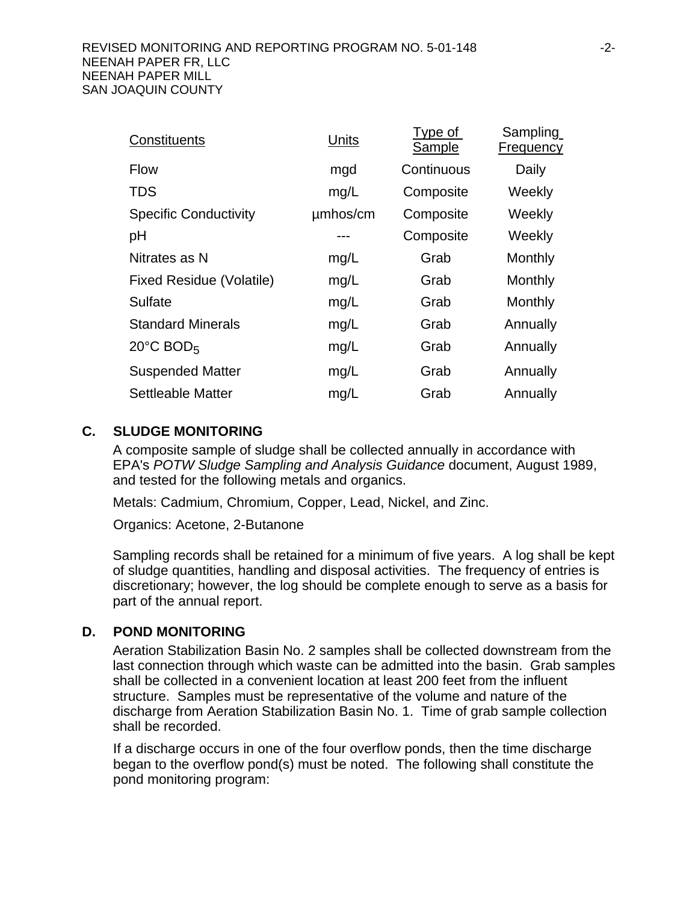| Constituents                    | Units    | Type of<br>Sample | Sampling<br><b>Frequency</b> |
|---------------------------------|----------|-------------------|------------------------------|
| <b>Flow</b>                     | mgd      | Continuous        | Daily                        |
| <b>TDS</b>                      | mg/L     | Composite         | Weekly                       |
| <b>Specific Conductivity</b>    | umhos/cm | Composite         | Weekly                       |
| pH                              | ---      | Composite         | Weekly                       |
| Nitrates as N                   | mg/L     | Grab              | Monthly                      |
| <b>Fixed Residue (Volatile)</b> | mg/L     | Grab              | Monthly                      |
| Sulfate                         | mg/L     | Grab              | Monthly                      |
| <b>Standard Minerals</b>        | mg/L     | Grab              | Annually                     |
| $20^{\circ}$ C BOD <sub>5</sub> | mg/L     | Grab              | Annually                     |
| <b>Suspended Matter</b>         | mg/L     | Grab              | Annually                     |
| Settleable Matter               | mg/L     | Grab              | Annually                     |

## **C. SLUDGE MONITORING**

A composite sample of sludge shall be collected annually in accordance with EPA's *POTW Sludge Sampling and Analysis Guidance* document, August 1989, and tested for the following metals and organics.

Metals: Cadmium, Chromium, Copper, Lead, Nickel, and Zinc.

Organics: Acetone, 2-Butanone

Sampling records shall be retained for a minimum of five years. A log shall be kept of sludge quantities, handling and disposal activities. The frequency of entries is discretionary; however, the log should be complete enough to serve as a basis for part of the annual report.

## **D. POND MONITORING**

Aeration Stabilization Basin No. 2 samples shall be collected downstream from the last connection through which waste can be admitted into the basin. Grab samples shall be collected in a convenient location at least 200 feet from the influent structure. Samples must be representative of the volume and nature of the discharge from Aeration Stabilization Basin No. 1. Time of grab sample collection shall be recorded.

If a discharge occurs in one of the four overflow ponds, then the time discharge began to the overflow pond(s) must be noted. The following shall constitute the pond monitoring program: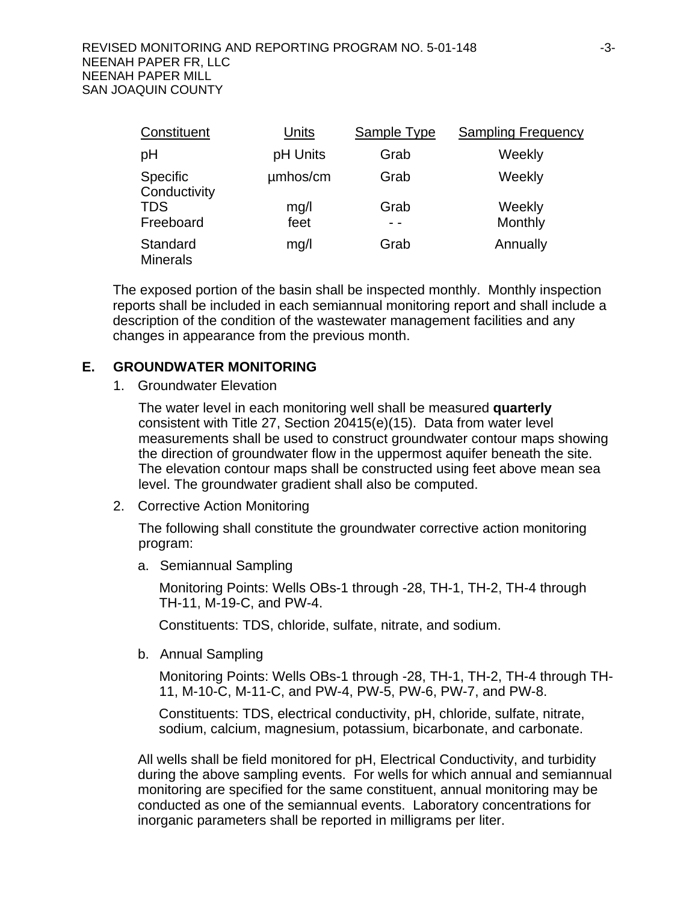| Constituent                     | <b>Units</b> | Sample Type | <b>Sampling Frequency</b> |
|---------------------------------|--------------|-------------|---------------------------|
| рH                              | pH Units     | Grab        | Weekly                    |
| <b>Specific</b><br>Conductivity | umhos/cm     | Grab        | Weekly                    |
| <b>TDS</b>                      | mg/l         | Grab        | Weekly                    |
| Freeboard                       | feet         |             | Monthly                   |
| Standard<br><b>Minerals</b>     | mg/l         | Grab        | Annually                  |

The exposed portion of the basin shall be inspected monthly. Monthly inspection reports shall be included in each semiannual monitoring report and shall include a description of the condition of the wastewater management facilities and any changes in appearance from the previous month.

## **E. GROUNDWATER MONITORING**

1. Groundwater Elevation

The water level in each monitoring well shall be measured **quarterly** consistent with Title 27, Section 20415(e)(15). Data from water level measurements shall be used to construct groundwater contour maps showing the direction of groundwater flow in the uppermost aquifer beneath the site. The elevation contour maps shall be constructed using feet above mean sea level. The groundwater gradient shall also be computed.

2. Corrective Action Monitoring

The following shall constitute the groundwater corrective action monitoring program:

a. Semiannual Sampling

Monitoring Points: Wells OBs-1 through -28, TH-1, TH-2, TH-4 through TH-11, M-19-C, and PW-4.

Constituents: TDS, chloride, sulfate, nitrate, and sodium.

b. Annual Sampling

Monitoring Points: Wells OBs-1 through -28, TH-1, TH-2, TH-4 through TH-11, M-10-C, M-11-C, and PW-4, PW-5, PW-6, PW-7, and PW-8.

Constituents: TDS, electrical conductivity, pH, chloride, sulfate, nitrate, sodium, calcium, magnesium, potassium, bicarbonate, and carbonate.

All wells shall be field monitored for pH, Electrical Conductivity, and turbidity during the above sampling events. For wells for which annual and semiannual monitoring are specified for the same constituent, annual monitoring may be conducted as one of the semiannual events. Laboratory concentrations for inorganic parameters shall be reported in milligrams per liter.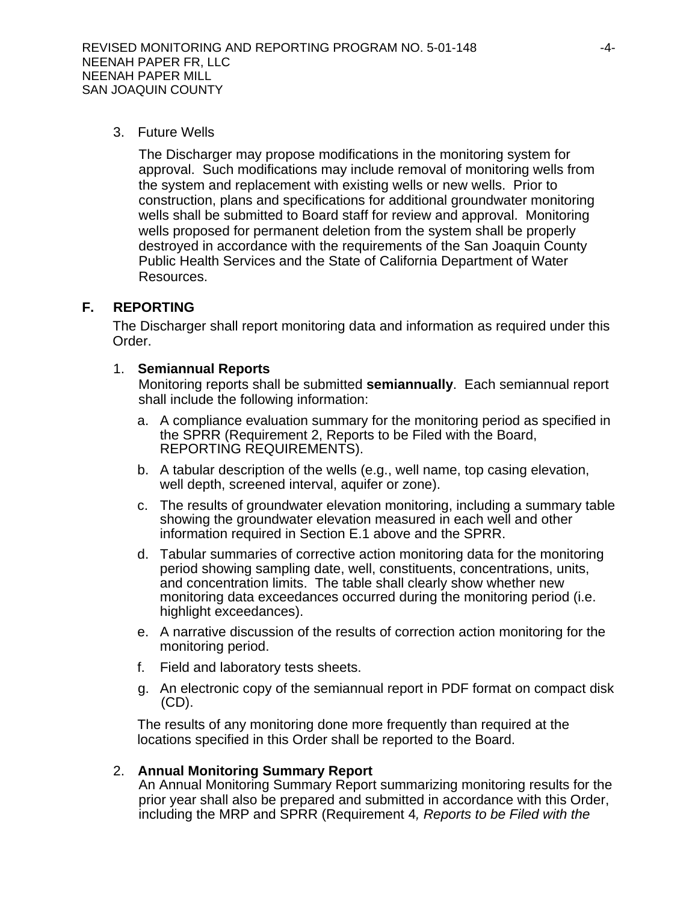3. Future Wells

The Discharger may propose modifications in the monitoring system for approval. Such modifications may include removal of monitoring wells from the system and replacement with existing wells or new wells. Prior to construction, plans and specifications for additional groundwater monitoring wells shall be submitted to Board staff for review and approval. Monitoring wells proposed for permanent deletion from the system shall be properly destroyed in accordance with the requirements of the San Joaquin County Public Health Services and the State of California Department of Water Resources.

## **F. REPORTING**

The Discharger shall report monitoring data and information as required under this Order.

#### 1. **Semiannual Reports**

Monitoring reports shall be submitted **semiannually**. Each semiannual report shall include the following information:

- a. A compliance evaluation summary for the monitoring period as specified in the SPRR (Requirement 2, Reports to be Filed with the Board, REPORTING REQUIREMENTS).
- b. A tabular description of the wells (e.g., well name, top casing elevation, well depth, screened interval, aquifer or zone).
- c. The results of groundwater elevation monitoring, including a summary table showing the groundwater elevation measured in each well and other information required in Section E.1 above and the SPRR.
- d. Tabular summaries of corrective action monitoring data for the monitoring period showing sampling date, well, constituents, concentrations, units, and concentration limits. The table shall clearly show whether new monitoring data exceedances occurred during the monitoring period (i.e. highlight exceedances).
- e. A narrative discussion of the results of correction action monitoring for the monitoring period.
- f. Field and laboratory tests sheets.
- g. An electronic copy of the semiannual report in PDF format on compact disk (CD).

The results of any monitoring done more frequently than required at the locations specified in this Order shall be reported to the Board.

## 2. **Annual Monitoring Summary Report**

An Annual Monitoring Summary Report summarizing monitoring results for the prior year shall also be prepared and submitted in accordance with this Order, including the MRP and SPRR (Requirement 4*, Reports to be Filed with the*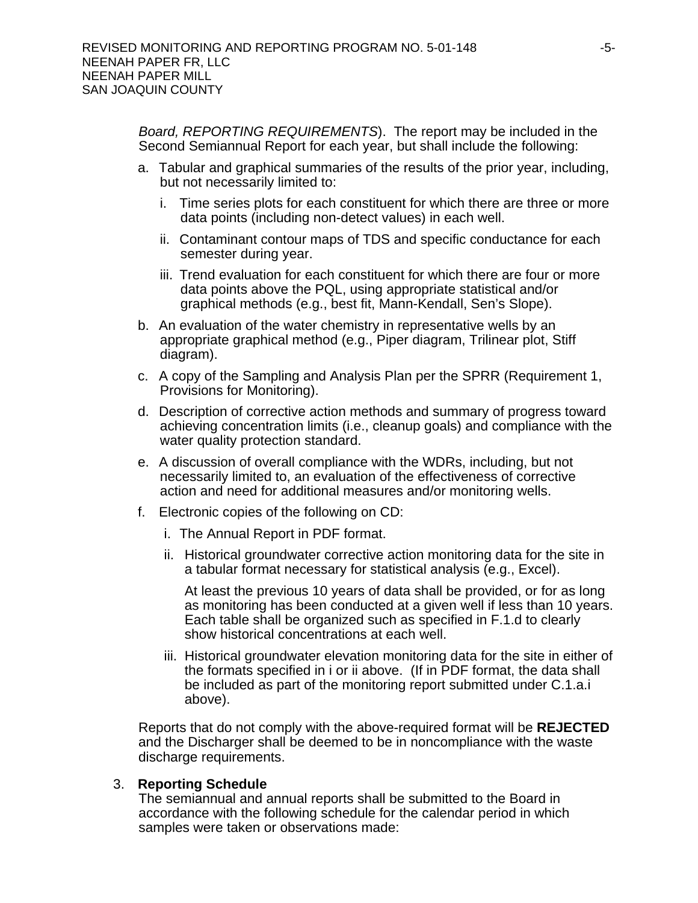*Board, REPORTING REQUIREMENTS*). The report may be included in the Second Semiannual Report for each year, but shall include the following:

- a. Tabular and graphical summaries of the results of the prior year, including, but not necessarily limited to:
	- i. Time series plots for each constituent for which there are three or more data points (including non-detect values) in each well.
	- ii. Contaminant contour maps of TDS and specific conductance for each semester during year.
	- iii. Trend evaluation for each constituent for which there are four or more data points above the PQL, using appropriate statistical and/or graphical methods (e.g., best fit, Mann-Kendall, Sen's Slope).
- b. An evaluation of the water chemistry in representative wells by an appropriate graphical method (e.g., Piper diagram, Trilinear plot, Stiff diagram).
- c. A copy of the Sampling and Analysis Plan per the SPRR (Requirement 1, Provisions for Monitoring).
- d. Description of corrective action methods and summary of progress toward achieving concentration limits (i.e., cleanup goals) and compliance with the water quality protection standard.
- e. A discussion of overall compliance with the WDRs, including, but not necessarily limited to, an evaluation of the effectiveness of corrective action and need for additional measures and/or monitoring wells.
- f. Electronic copies of the following on CD:
	- i. The Annual Report in PDF format.
	- ii. Historical groundwater corrective action monitoring data for the site in a tabular format necessary for statistical analysis (e.g., Excel).

At least the previous 10 years of data shall be provided, or for as long as monitoring has been conducted at a given well if less than 10 years. Each table shall be organized such as specified in F.1.d to clearly show historical concentrations at each well.

iii. Historical groundwater elevation monitoring data for the site in either of the formats specified in i or ii above. (If in PDF format, the data shall be included as part of the monitoring report submitted under C.1.a.i above).

Reports that do not comply with the above-required format will be **REJECTED** and the Discharger shall be deemed to be in noncompliance with the waste discharge requirements.

#### 3. **Reporting Schedule**

The semiannual and annual reports shall be submitted to the Board in accordance with the following schedule for the calendar period in which samples were taken or observations made: